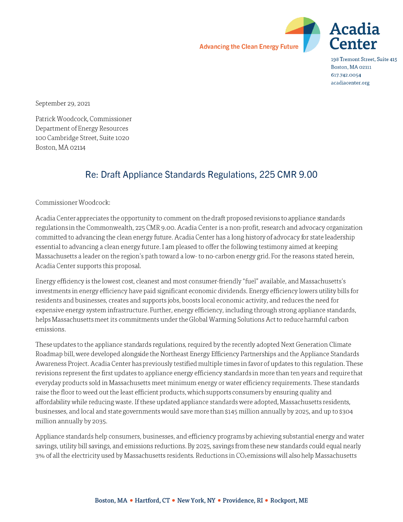



198 Tremont Street, Suite 415 Boston, MA 02111 617.742.0054 acadiacenter.org

September 29, 2021

Patrick Woodcock, Commissioner Department of Energy Resources 100 Cambridge Street, Suite 1020 Boston, MA 02114

# Re: Draft Appliance Standards Regulations, 225 CMR 9.00

Commissioner Woodcock:

Acadia Center appreciates the opportunity to comment on the draft proposed revisions to appliance standards regulations in the Commonwealth, 225 CMR 9.00. Acadia Center is a non-profit, research and advocacy organization committed to advancing the clean energy future. Acadia Center has a long history of advocacy for state leadership essential to advancing a clean energy future. I am pleased to offer the following testimony aimed at keeping Massachusetts a leader on the region's path toward a low-to no-carbon energy grid. For the reasons stated herein, Acadia Center supports this proposal.

Energy efficiency is the lowest cost, cleanest and most consumer-friendly "fuel" available, and Massachusetts's investments in energy efficiency have paid significant economic dividends. Energy efficiency lowers utility bills for residents and businesses, creates and supports jobs, boosts local economic activity, and reduces the need for expensive energy system infrastructure. Further, energy efficiency, including through strong appliance standards, helps Massachusetts meet its commitments under the Global Warming Solutions Act to reduce harmful carbon emissions.

These updates to the appliance standards regulations, required by the recently adopted Next Generation Climate Roadmap bill, were developed alongside the Northeast Energy Efficiency Partnerships and the Appliance Standards Awareness Project. Acadia Center has previously testified multiple times in favor of updates to this regulation. These revisions represent the first updates to appliance energy efficiency standards in more than ten years and require that everyday products sold in Massachusetts meet minimum energy or water efficiency requirements. These standards raise the floor to weed out the least efficient products, which supports consumers by ensuring quality and affordability while reducing waste. If these updated appliance standards were adopted, Massachusetts residents, businesses, and local and state governments would save more than \$145 million annually by 2025, and up to \$304 million annually by 2035.

Appliance standards help consumers, businesses, and efficiency programs by achieving substantial energy and water savings, utility bill savings, and emissions reductions. By 2025, savings from these new standards could equal nearly 3% of all the electricity used by Massachusetts residents. Reductions in CO<sub>2</sub> emissions will also help Massachusetts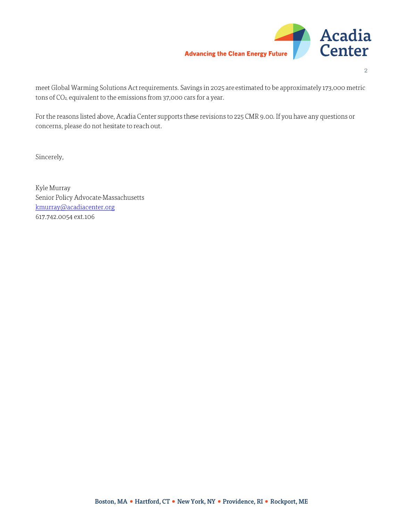

 $\overline{2}$ 

meet Global Warming Solutions Act requirements. Savings in 2025 are estimated to be approximately 173,000 metric tons of CO<sub>2</sub>, equivalent to the emissions from 37,000 cars for a year.

For the reasons listed above, Acadia Center supports these revisions to 225 CMR 9.00. If you have any questions or concerns, please do not hesitate to reach out.

Sincerely,

Kyle Murray Senior Policy Advocate-Massachusetts kmurray@acadiacenter.org 617.742.0054 ext.106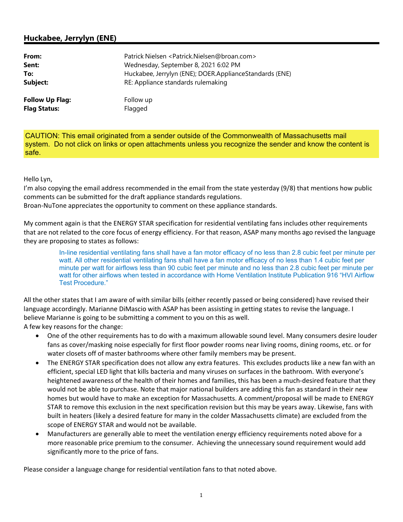## **Huckabee, Jerrylyn (ENE)**

| From:                  | Patrick Nielsen <patrick.nielsen@broan.com></patrick.nielsen@broan.com> |
|------------------------|-------------------------------------------------------------------------|
| Sent:                  | Wednesday, September 8, 2021 6:02 PM                                    |
| To:                    | Huckabee, Jerrylyn (ENE); DOER.ApplianceStandards (ENE)                 |
| Subject:               | RE: Appliance standards rulemaking                                      |
| <b>Follow Up Flag:</b> | Follow up                                                               |
| <b>Flag Status:</b>    | Flagged                                                                 |

CAUTION: This email originated from a sender outside of the Commonwealth of Massachusetts mail system. Do not click on links or open attachments unless you recognize the sender and know the content is safe.

#### Hello Lyn,

I'm also copying the email address recommended in the email from the state yesterday (9/8) that mentions how public comments can be submitted for the draft appliance standards regulations.

Broan-NuTone appreciates the opportunity to comment on these appliance standards.

My comment again is that the ENERGY STAR specification for residential ventilating fans includes other requirements that are not related to the core focus of energy efficiency. For that reason, ASAP many months ago revised the language they are proposing to states as follows:

> In-line residential ventilating fans shall have a fan motor efficacy of no less than 2.8 cubic feet per minute per watt. All other residential ventilating fans shall have a fan motor efficacy of no less than 1.4 cubic feet per minute per watt for airflows less than 90 cubic feet per minute and no less than 2.8 cubic feet per minute per watt for other airflows when tested in accordance with Home Ventilation Institute Publication 916 "HVI Airflow Test Procedure."

All the other states that I am aware of with similar bills (either recently passed or being considered) have revised their language accordingly. Marianne DiMascio with ASAP has been assisting in getting states to revise the language. I believe Marianne is going to be submitting a comment to you on this as well.

A few key reasons for the change:

- One of the other requirements has to do with a maximum allowable sound level. Many consumers desire louder fans as cover/masking noise especially for first floor powder rooms near living rooms, dining rooms, etc. or for water closets off of master bathrooms where other family members may be present.
- The ENERGY STAR specification does not allow any extra features. This excludes products like a new fan with an efficient, special LED light that kills bacteria and many viruses on surfaces in the bathroom. With everyone's heightened awareness of the health of their homes and families, this has been a much-desired feature that they would not be able to purchase. Note that major national builders are adding this fan as standard in their new homes but would have to make an exception for Massachusetts. A comment/proposal will be made to ENERGY STAR to remove this exclusion in the next specification revision but this may be years away. Likewise, fans with built in heaters (likely a desired feature for many in the colder Massachusetts climate) are excluded from the scope of ENERGY STAR and would not be available.
- Manufacturers are generally able to meet the ventilation energy efficiency requirements noted above for a more reasonable price premium to the consumer. Achieving the unnecessary sound requirement would add significantly more to the price of fans.

Please consider a language change for residential ventilation fans to that noted above.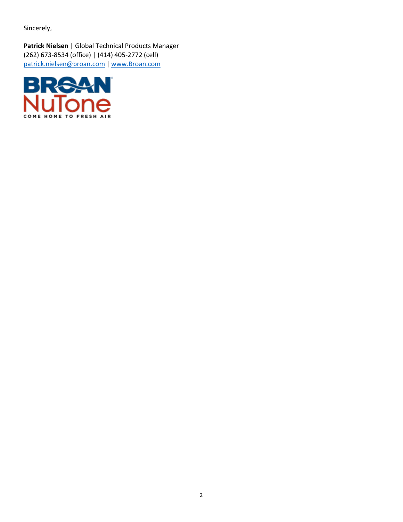Sincerely,

**Patrick Nielsen** | Global Technical Products Manager (262) 673-8534 (office) | (414) 405-2772 (cell) [patrick.nielsen@broan.com](mailto:patrick.nielsen@broan.com) | [www.Broan.com](http://www.broan.com/)

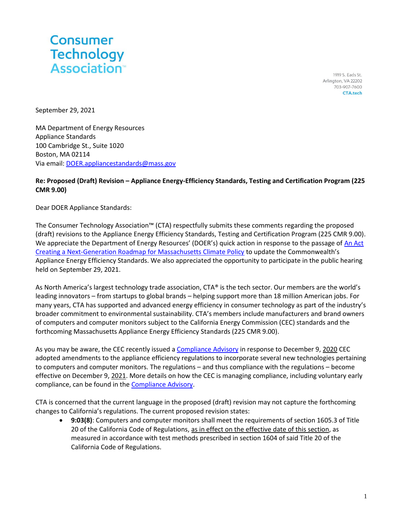

1919 S. Eads St. Arlington, VA 22202 703-907-7600 **CTA.tech** 

September 29, 2021

MA Department of Energy Resources Appliance Standards 100 Cambridge St., Suite 1020 Boston, MA 02114 Via email[: DOER.appliancestandards@mass.gov](mailto:DOER.appliancestandards@mass.gov)

### **Re: Proposed (Draft) Revision – Appliance Energy-Efficiency Standards, Testing and Certification Program (225 CMR 9.00)**

Dear DOER Appliance Standards:

The Consumer Technology Association™ (CTA) respectfully submits these comments regarding the proposed (draft) revisions to the Appliance Energy Efficiency Standards, Testing and Certification Program (225 CMR 9.00). We appreciate the Department of Energy Resources' (DOER's) quick action in response to the passage of [An Act](https://malegislature.gov/Laws/SessionLaws/Acts/2021/Chapter8)  [Creating a Next-Generation Roadmap for Massachusetts Climate Policy](https://malegislature.gov/Laws/SessionLaws/Acts/2021/Chapter8) to update the Commonwealth's Appliance Energy Efficiency Standards. We also appreciated the opportunity to participate in the public hearing held on September 29, 2021.

As North America's largest technology trade association, CTA® is the tech sector. Our members are the world's leading innovators – from startups to global brands – helping support more than 18 million American jobs. For many years, CTA has supported and advanced energy efficiency in consumer technology as part of the industry's broader commitment to environmental sustainability. CTA's members include manufacturers and brand owners of computers and computer monitors subject to the California Energy Commission (CEC) standards and the forthcoming Massachusetts Appliance Energy Efficiency Standards (225 CMR 9.00).

As you may be aware, the CEC recently issued [a Compliance Advisory](https://protect-us.mimecast.com/s/p_2nCrk5ppi8Ng16s7s-UF?domain=gcc02.safelinks.protection.outlook.com) in response to December 9, 2020 CEC adopted amendments to the appliance efficiency regulations to incorporate several new technologies pertaining to computers and computer monitors. The regulations – and thus compliance with the regulations – become effective on December 9, 2021. More details on how the CEC is managing compliance, including voluntary early compliance, can be found in th[e Compliance Advisory.](https://protect-us.mimecast.com/s/p_2nCrk5ppi8Ng16s7s-UF?domain=gcc02.safelinks.protection.outlook.com)

CTA is concerned that the current language in the proposed (draft) revision may not capture the forthcoming changes to California's regulations. The current proposed revision states:

• **9:03(8)**: Computers and computer monitors shall meet the requirements of section 1605.3 of Title 20 of the California Code of Regulations, as in effect on the effective date of this section, as measured in accordance with test methods prescribed in section 1604 of said Title 20 of the California Code of Regulations.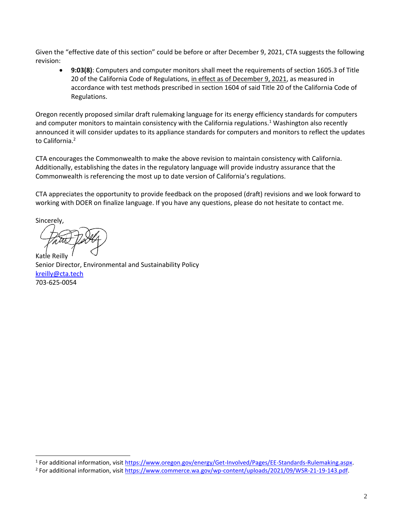Given the "effective date of this section" could be before or after December 9, 2021, CTA suggests the following revision:

• **9:03(8)**: Computers and computer monitors shall meet the requirements of section 1605.3 of Title 20 of the California Code of Regulations, in effect as of December 9, 2021, as measured in accordance with test methods prescribed in section 1604 of said Title 20 of the California Code of Regulations.

Oregon recently proposed similar draft rulemaking language for its energy efficiency standards for computers and computer monitors to maintain consistency with the California regulations.<sup>1</sup> Washington also recently announced it will consider updates to its appliance standards for computers and monitors to reflect the updates to California.<sup>2</sup>

CTA encourages the Commonwealth to make the above revision to maintain consistency with California. Additionally, establishing the dates in the regulatory language will provide industry assurance that the Commonwealth is referencing the most up to date version of California's regulations.

CTA appreciates the opportunity to provide feedback on the proposed (draft) revisions and we look forward to working with DOER on finalize language. If you have any questions, please do not hesitate to contact me.

Sincerely, Katie Reilly

Senior Director, Environmental and Sustainability Policy [kreilly@cta.tech](mailto:kreilly@cta.tech) 703-625-0054

<sup>1</sup> For additional information, visit [https://www.oregon.gov/energy/Get-Involved/Pages/EE-Standards-Rulemaking.aspx.](https://www.oregon.gov/energy/Get-Involved/Pages/EE-Standards-Rulemaking.aspx)

<sup>&</sup>lt;sup>2</sup> For additional information, visit [https://www.commerce.wa.gov/wp-content/uploads/2021/09/WSR-21-19-143.pdf.](https://www.commerce.wa.gov/wp-content/uploads/2021/09/WSR-21-19-143.pdf)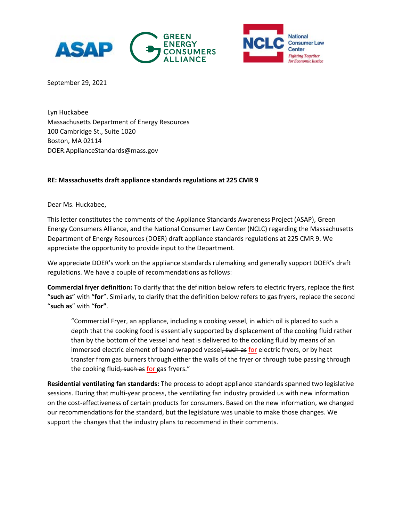



September 29, 2021

Lyn Huckabee Massachusetts Department of Energy Resources 100 Cambridge St., Suite 1020 Boston, MA 02114 [DOER.ApplianceStandards@mass.gov](about:blank)

#### **RE: Massachusetts draft appliance standards regulations at 225 CMR 9**

Dear Ms. Huckabee,

This letter constitutes the comments of the Appliance Standards Awareness Project (ASAP), Green Energy Consumers Alliance, and the National Consumer Law Center (NCLC) regarding the Massachusetts Department of Energy Resources (DOER) draft appliance standards regulations at 225 CMR 9. We appreciate the opportunity to provide input to the Department.

We appreciate DOER's work on the appliance standards rulemaking and generally support DOER's draft regulations. We have a couple of recommendations as follows:

**Commercial fryer definition:** To clarify that the definition below refers to electric fryers, replace the first "**such as**" with "**for**". Similarly, to clarify that the definition below refers to gas fryers, replace the second "**such as**" with "**for"**.

"Commercial Fryer, an appliance, including a cooking vessel, in which oil is placed to such a depth that the cooking food is essentially supported by displacement of the cooking fluid rather than by the bottom of the vessel and heat is delivered to the cooking fluid by means of an immersed electric element of band-wrapped vessel, such as for electric fryers, or by heat transfer from gas burners through either the walls of the fryer or through tube passing through the cooking fluid, such as for gas fryers."

**Residential ventilating fan standards:** The process to adopt appliance standards spanned two legislative sessions. During that multi-year process, the ventilating fan industry provided us with new information on the cost-effectiveness of certain products for consumers. Based on the new information, we changed our recommendations for the standard, but the legislature was unable to make those changes. We support the changes that the industry plans to recommend in their comments.